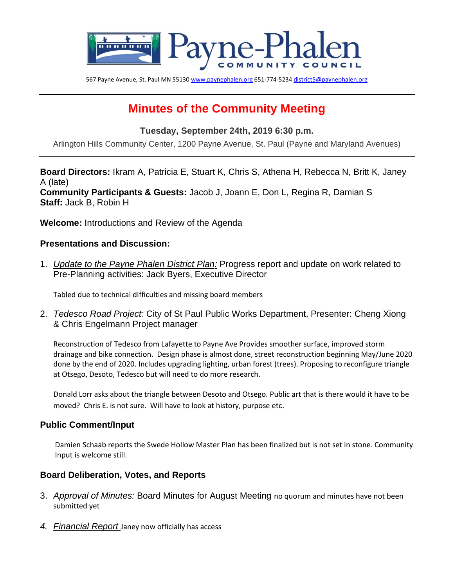

567 Payne Avenue, St. Paul MN 5513[0 www.paynephalen.org](http://www.paynephalen.org/) 651-774-523[4 district5@paynephalen.org](mailto:district5@paynephalen.org)

# **Minutes of the Community Meeting**

#### **Tuesday, September 24th, 2019 6:30 p.m.**

Arlington Hills Community Center, 1200 Payne Avenue, St. Paul (Payne and Maryland Avenues)

**Board Directors:** Ikram A, Patricia E, Stuart K, Chris S, Athena H, Rebecca N, Britt K, Janey A (late) **Community Participants & Guests:** Jacob J, Joann E, Don L, Regina R, Damian S **Staff:** Jack B, Robin H

**Welcome:** Introductions and Review of the Agenda

#### **Presentations and Discussion:**

1. *Update to the Payne Phalen District Plan:* Progress report and update on work related to Pre-Planning activities: Jack Byers, Executive Director

Tabled due to technical difficulties and missing board members

2. *Tedesco Road Project:* City of St Paul Public Works Department, Presenter: Cheng Xiong & Chris Engelmann Project manager

Reconstruction of Tedesco from Lafayette to Payne Ave Provides smoother surface, improved storm drainage and bike connection. Design phase is almost done, street reconstruction beginning May/June 2020 done by the end of 2020. Includes upgrading lighting, urban forest (trees). Proposing to reconfigure triangle at Otsego, Desoto, Tedesco but will need to do more research.

Donald Lorr asks about the triangle between Desoto and Otsego. Public art that is there would it have to be moved? Chris E. is not sure. Will have to look at history, purpose etc.

#### **Public Comment/Input**

Damien Schaab reports the Swede Hollow Master Plan has been finalized but is not set in stone. Community Input is welcome still.

#### **Board Deliberation, Votes, and Reports**

- 3. *Approval of Minutes:* Board Minutes for August Meeting no quorum and minutes have not been submitted yet
- *4. Financial Report* Janey now officially has access